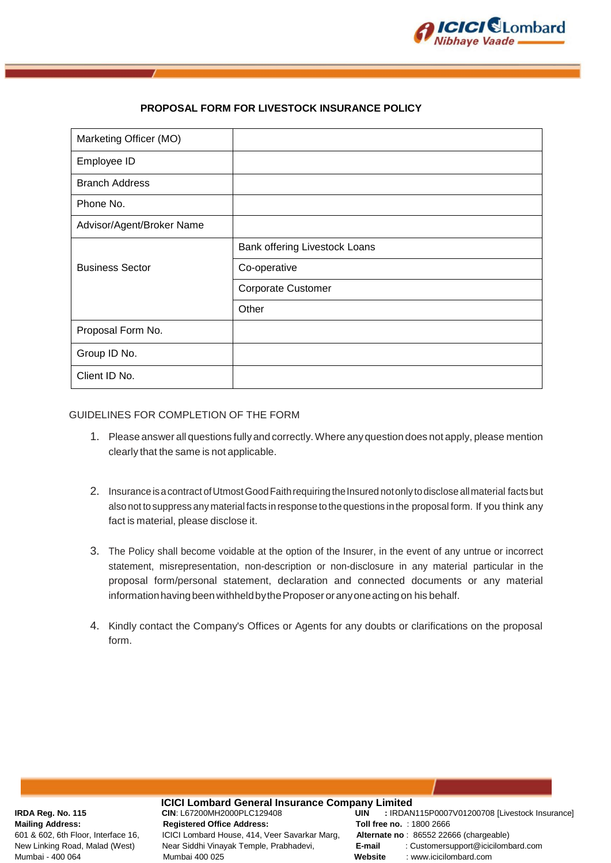

# **PROPOSAL FORM FOR LIVESTOCK INSURANCE POLICY**

| Marketing Officer (MO)    |                               |
|---------------------------|-------------------------------|
| Employee ID               |                               |
| <b>Branch Address</b>     |                               |
| Phone No.                 |                               |
| Advisor/Agent/Broker Name |                               |
|                           | Bank offering Livestock Loans |
| <b>Business Sector</b>    | Co-operative                  |
|                           | <b>Corporate Customer</b>     |
|                           | Other                         |
| Proposal Form No.         |                               |
| Group ID No.              |                               |
| Client ID No.             |                               |

# GUIDELINES FOR COMPLETION OF THE FORM

- 1. Please answer all questions fully and correctly.Where anyquestion does not apply, please mention clearly that the same is not applicable.
- 2. Insurance is a contract of Utmost Good Faith requiring the Insured not only to disclose all material facts but also not tosuppress any material facts in response to the questions in the proposal form. If you think any fact is material, please disclose it.
- 3. The Policy shall become voidable at the option of the Insurer, in the event of any untrue or incorrect statement, misrepresentation, non-description or non-disclosure in any material particular in the proposal form/personal statement, declaration and connected documents or any material information having been withheld by the Proposer or any one acting on his behalf.
- 4. Kindly contact the Company's Offices or Agents for any doubts or clarifications on the proposal form.

**ICICI Lombard General Insurance Company Limited**<br>CIN: L67200MH2000PLC129408 **UIN** : IRDAN **Mailing Address:** Registered Office Address: Toll free no. : 1800 2666<br>601 & 602. 6th Floor. Interface 16. ICICI Lombard House, 414, Veer Savarkar Marg, Alternate no: 86552 226 ICICI Lombard House, 414, Veer Savarkar Marg, Alternate no : 86552 22666 (chargeable) Mumbai - 400 064 Mumbai 400 025 **Website** : www.icicilombard.com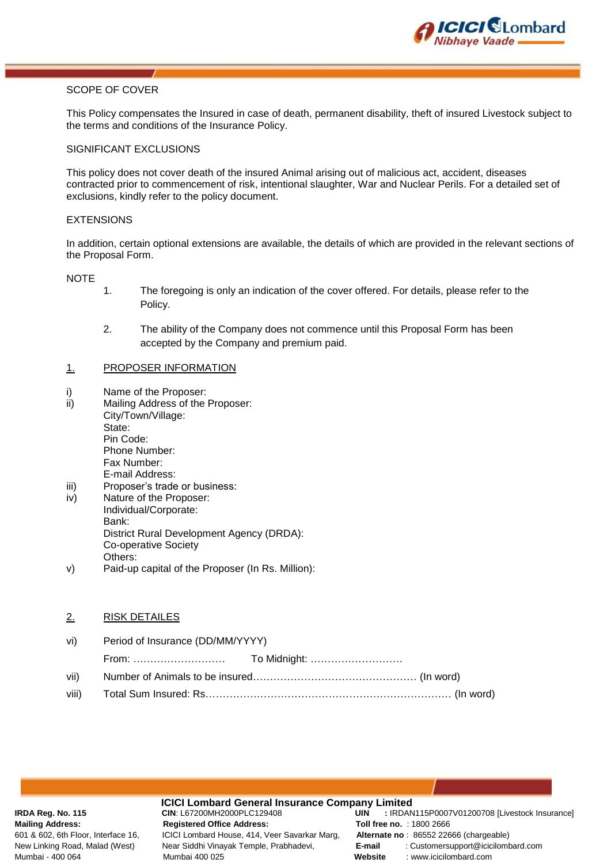

# SCOPE OF COVER

This Policy compensates the Insured in case of death, permanent disability, theft of insured Livestock subject to the terms and conditions of the Insurance Policy.

#### SIGNIFICANT EXCLUSIONS

This policy does not cover death of the insured Animal arising out of malicious act, accident, diseases contracted prior to commencement of risk, intentional slaughter, War and Nuclear Perils. For a detailed set of exclusions, kindly refer to the policy document.

## EXTENSIONS

In addition, certain optional extensions are available, the details of which are provided in the relevant sections of the Proposal Form.

**NOTE** 

- 1. The foregoing is only an indication of the cover offered. For details, please refer to the Policy.
- 2. The ability of the Company does not commence until this Proposal Form has been accepted by the Company and premium paid.

## 1. PROPOSER INFORMATION

- i) Name of the Proposer:
- ii) Mailing Address of the Proposer: City/Town/Village: State: Pin Code: Phone Number: Fax Number: E-mail Address: iii) Proposer's trade or business:
- iv) Nature of the Proposer: Individual/Corporate: Bank: District Rural Development Agency (DRDA): Co-operative Society Others:
- v) Paid-up capital of the Proposer (In Rs. Million):

## 2. RISK DETAILES

| vi) | Period of Insurance (DD/MM/YYYY) |  |
|-----|----------------------------------|--|
|     |                                  |  |
|     |                                  |  |
|     |                                  |  |

**ICICI Lombard General Insurance Company Limited**<br>CIN: L67200MH2000PLC129408 **UIN** : IRDAN **Mailing Address:** Registered Office Address: Toll free no. : 1800 2666<br>601 & 602, 6th Floor, Interface 16, ICICI Lombard House, 414, Veer Savarkar Marg, Alternate no: 86552 226 ICICI Lombard House, 414, Veer Savarkar Marg, Alternate no : 86552 22666 (chargeable) Mumbai - 400 064 Mumbai 400 025 **Website** : www.icicilombard.com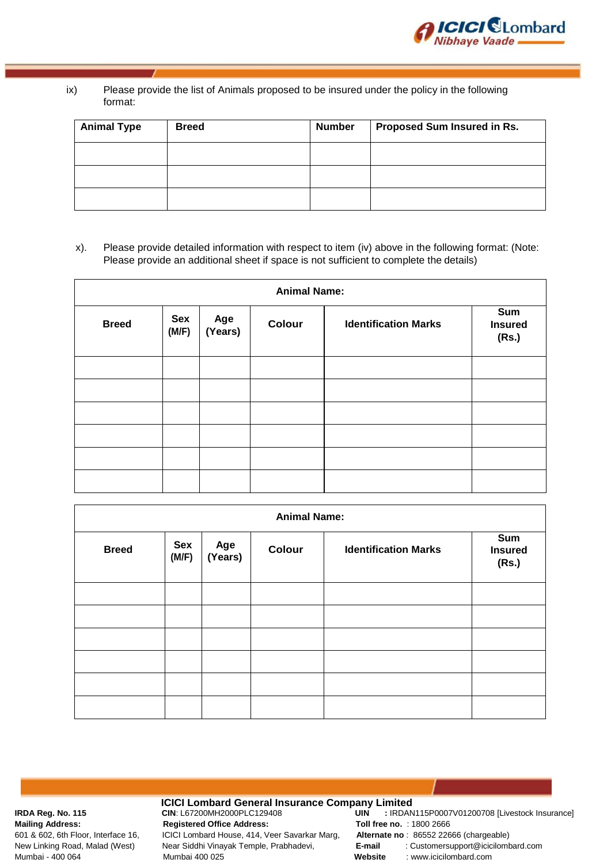

# ix) Please provide the list of Animals proposed to be insured under the policy in the following format:

| <b>Animal Type</b> | <b>Breed</b> | <b>Number</b> | Proposed Sum Insured in Rs. |
|--------------------|--------------|---------------|-----------------------------|
|                    |              |               |                             |
|                    |              |               |                             |
|                    |              |               |                             |

# x). Please provide detailed information with respect to item (iv) above in the following format: (Note: Please provide an additional sheet if space is not sufficient to complete the details)

| <b>Animal Name:</b> |              |                |        |                             |                                |
|---------------------|--------------|----------------|--------|-----------------------------|--------------------------------|
| <b>Breed</b>        | Sex<br>(M/F) | Age<br>(Years) | Colour | <b>Identification Marks</b> | Sum<br><b>Insured</b><br>(Rs.) |
|                     |              |                |        |                             |                                |
|                     |              |                |        |                             |                                |
|                     |              |                |        |                             |                                |
|                     |              |                |        |                             |                                |
|                     |              |                |        |                             |                                |
|                     |              |                |        |                             |                                |

| <b>Animal Name:</b>                                                                     |  |  |                                |  |  |
|-----------------------------------------------------------------------------------------|--|--|--------------------------------|--|--|
| Sex<br>Age<br>(Years)<br>Colour<br><b>Identification Marks</b><br><b>Breed</b><br>(M/F) |  |  | Sum<br><b>Insured</b><br>(Rs.) |  |  |
|                                                                                         |  |  |                                |  |  |
|                                                                                         |  |  |                                |  |  |
|                                                                                         |  |  |                                |  |  |
|                                                                                         |  |  |                                |  |  |
|                                                                                         |  |  |                                |  |  |
|                                                                                         |  |  |                                |  |  |

**ICICI Lombard General Insurance Company Limited**<br>CIN: L67200MH2000PLC129408 **UIN** : IRDAN **Mailing Address: Registered Office Address: Toll free no.** : 1800 2666 601 & 602, 6th Floor, Interface 16, ICICI Lombard House, 414, Veer Savarkar Marg, **Alternate no** : 86552 22666 (chargeable) Mumbai - 400 064 Mumbai 400 025 **Website** : www.icicilombard.com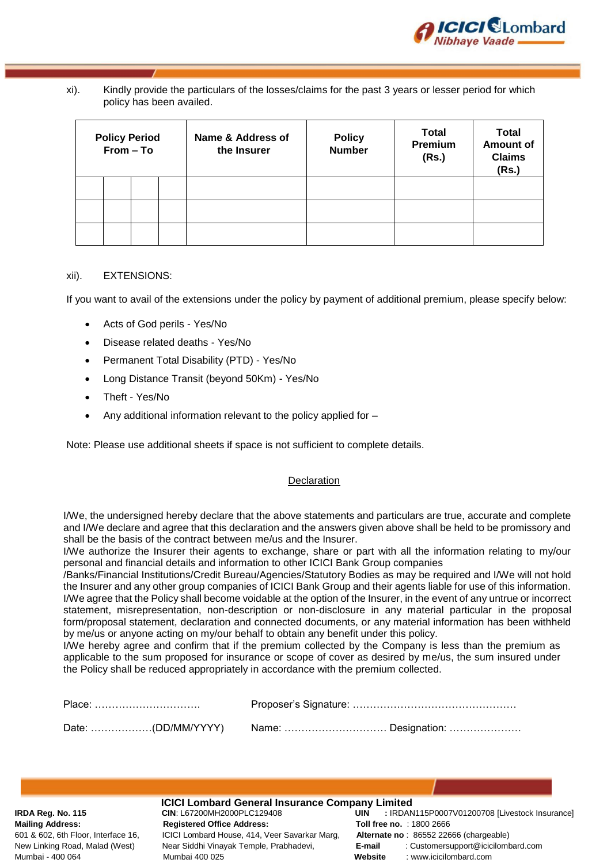

# xi). Kindly provide the particulars of the losses/claims for the past 3 years or lesser period for which policy has been availed.

| <b>Policy Period</b><br>From - To |  | Name & Address of<br>the Insurer | <b>Policy</b><br>Number | <b>Total</b><br>Premium<br>(Rs.) | <b>Total</b><br><b>Amount of</b><br><b>Claims</b><br>(Rs.) |  |
|-----------------------------------|--|----------------------------------|-------------------------|----------------------------------|------------------------------------------------------------|--|
|                                   |  |                                  |                         |                                  |                                                            |  |
|                                   |  |                                  |                         |                                  |                                                            |  |
|                                   |  |                                  |                         |                                  |                                                            |  |

# xii). EXTENSIONS:

If you want to avail of the extensions under the policy by payment of additional premium, please specify below:

- Acts of God perils Yes/No
- Disease related deaths Yes/No
- Permanent Total Disability (PTD) Yes/No
- Long Distance Transit (beyond 50Km) Yes/No
- Theft Yes/No
- Any additional information relevant to the policy applied for –

Note: Please use additional sheets if space is not sufficient to complete details.

# Declaration

I/We, the undersigned hereby declare that the above statements and particulars are true, accurate and complete and I/We declare and agree that this declaration and the answers given above shall be held to be promissory and shall be the basis of the contract between me/us and the Insurer.

I/We authorize the Insurer their agents to exchange, share or part with all the information relating to my/our personal and financial details and information to other ICICI Bank Group companies

/Banks/Financial Institutions/Credit Bureau/Agencies/Statutory Bodies as may be required and I/We will not hold the Insurer and any other group companies of ICICI Bank Group and their agents liable for use of this information. I/We agree that the Policy shall become voidable at the option of the Insurer, in the event of any untrue or incorrect statement, misrepresentation, non-description or non-disclosure in any material particular in the proposal form/proposal statement, declaration and connected documents, or any material information has been withheld by me/us or anyone acting on my/our behalf to obtain any benefit under this policy.

I/We hereby agree and confirm that if the premium collected by the Company is less than the premium as applicable to the sum proposed for insurance or scope of cover as desired by me/us, the sum insured under the Policy shall be reduced appropriately in accordance with the premium collected.

| Place: …………………………… |  |  |  |
|--------------------|--|--|--|
|                    |  |  |  |

**ICICI Lombard General Insurance Company Limited**<br>CIN: L67200MH2000PLC129408 **UIN** : IRDAN **Mailing Address: Registered Office Address: Toll free no.** : 1800 2666 601 & 602, 6th Floor, Interface 16, ICICI Lombard House, 414, Veer Savarkar Marg, **Alternate no** : 86552 22666 (chargeable) Mumbai - 400 064 Mumbai 400 025 **Website** : www.icicilombard.com